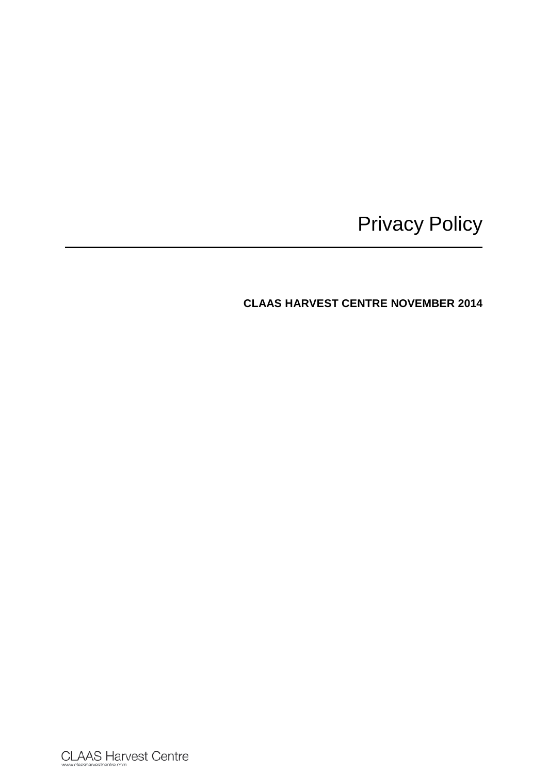# Privacy Policy

**CLAAS HARVEST CENTRE NOVEMBER 2014**

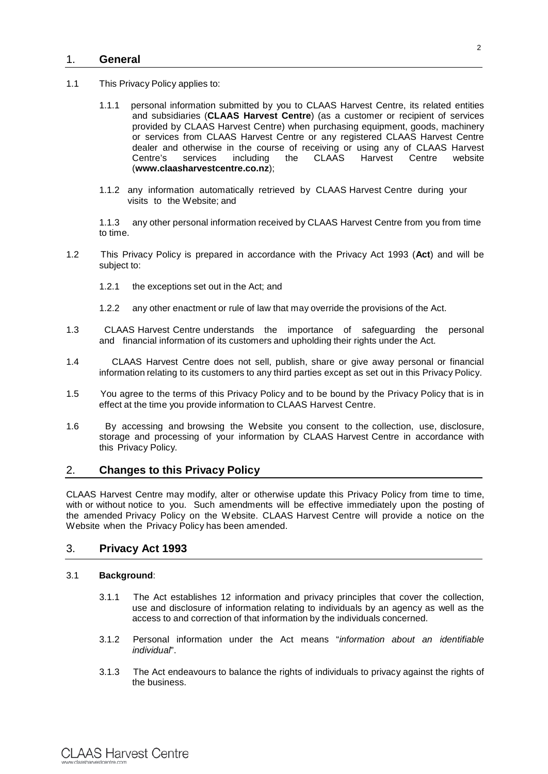## 1. **General**

- 1.1 This Privacy Policy applies to:
	- 1.1.1 personal information submitted by you to CLAAS Harvest Centre, its related entities and subsidiaries (**CLAAS Harvest Centre**) (as a customer or recipient of services provided by CLAAS Harvest Centre) when purchasing equipment, goods, machinery or services from CLAAS Harvest Centre or any registered CLAAS Harvest Centre dealer and otherwise in the course of receiving or using any of CLAAS Harvest<br>Centre's services including the CLAAS Harvest Centre website Centre's services including the CLAAS Harvest Centre website (**www.claasharvestcentre.co.nz**);
	- 1.1.2 any information automatically retrieved by CLAAS Harvest Centre during your visits to the Website; and

1.1.3 any other personal information received by CLAAS Harvest Centre from you from time to time.

- 1.2 This Privacy Policy is prepared in accordance with the Privacy Act 1993 (**Act**) and will be subject to:
	- 1.2.1 the exceptions set out in the Act; and
	- 1.2.2 any other enactment or rule of law that may override the provisions of the Act.
- 1.3 CLAAS Harvest Centre understands the importance of safeguarding the personal and financial information of its customers and upholding their rights under the Act.
- 1.4 CLAAS Harvest Centre does not sell, publish, share or give away personal or financial information relating to its customers to any third parties except as set out in this Privacy Policy.
- 1.5 You agree to the terms of this Privacy Policy and to be bound by the Privacy Policy that is in effect at the time you provide information to CLAAS Harvest Centre.
- 1.6 By accessing and browsing the Website you consent to the collection, use, disclosure, storage and processing of your information by CLAAS Harvest Centre in accordance with this Privacy Policy.

# 2. **Changes to this Privacy Policy**

CLAAS Harvest Centre may modify, alter or otherwise update this Privacy Policy from time to time, with or without notice to you. Such amendments will be effective immediately upon the posting of the amended Privacy Policy on the Website. CLAAS Harvest Centre will provide a notice on the Website when the Privacy Policy has been amended.

## 3. **Privacy Act 1993**

### 3.1 **Background**:

- 3.1.1 The Act establishes 12 information and privacy principles that cover the collection, use and disclosure of information relating to individuals by an agency as well as the access to and correction of that information by the individuals concerned.
- 3.1.2 Personal information under the Act means "*information about an identifiable individual*".
- 3.1.3 The Act endeavours to balance the rights of individuals to privacy against the rights of the business.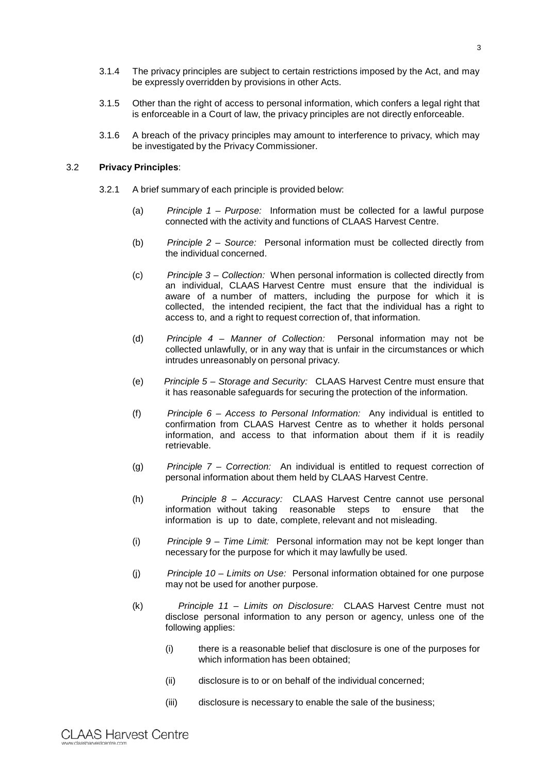- 3.1.4 The privacy principles are subject to certain restrictions imposed by the Act, and may be expressly overridden by provisions in other Acts.
- 3.1.5 Other than the right of access to personal information, which confers a legal right that is enforceable in a Court of law, the privacy principles are not directly enforceable.
- 3.1.6 A breach of the privacy principles may amount to interference to privacy, which may be investigated by the Privacy Commissioner.

#### 3.2 **Privacy Principles**:

- 3.2.1 A brief summary of each principle is provided below:
	- (a) *Principle 1 – Purpose:* Information must be collected for a lawful purpose connected with the activity and functions of CLAAS Harvest Centre.
	- (b) *Principle 2 – Source:* Personal information must be collected directly from the individual concerned.
	- (c) *Principle 3 – Collection:* When personal information is collected directly from an individual, CLAAS Harvest Centre must ensure that the individual is aware of a number of matters, including the purpose for which it is collected, the intended recipient, the fact that the individual has a right to access to, and a right to request correction of, that information.
	- (d) *Principle 4 – Manner of Collection:* Personal information may not be collected unlawfully, or in any way that is unfair in the circumstances or which intrudes unreasonably on personal privacy.
	- (e) *Principle 5 – Storage and Security:* CLAAS Harvest Centre must ensure that it has reasonable safeguards for securing the protection of the information.
	- (f) *Principle 6 – Access to Personal Information:* Any individual is entitled to confirmation from CLAAS Harvest Centre as to whether it holds personal information, and access to that information about them if it is readily retrievable.
	- (g) *Principle 7 – Correction:* An individual is entitled to request correction of personal information about them held by CLAAS Harvest Centre.
	- (h) *Principle 8 – Accuracy:* CLAAS Harvest Centre cannot use personal information without taking reasonable steps to ensure that the information is up to date, complete, relevant and not misleading.
	- (i) *Principle 9 – Time Limit:* Personal information may not be kept longer than necessary for the purpose for which it may lawfully be used.
	- (j) *Principle 10 – Limits on Use:* Personal information obtained for one purpose may not be used for another purpose.
	- (k) *Principle 11 – Limits on Disclosure:* CLAAS Harvest Centre must not disclose personal information to any person or agency, unless one of the following applies:
		- (i) there is a reasonable belief that disclosure is one of the purposes for which information has been obtained;
		- (ii) disclosure is to or on behalf of the individual concerned;
		- (iii) disclosure is necessary to enable the sale of the business;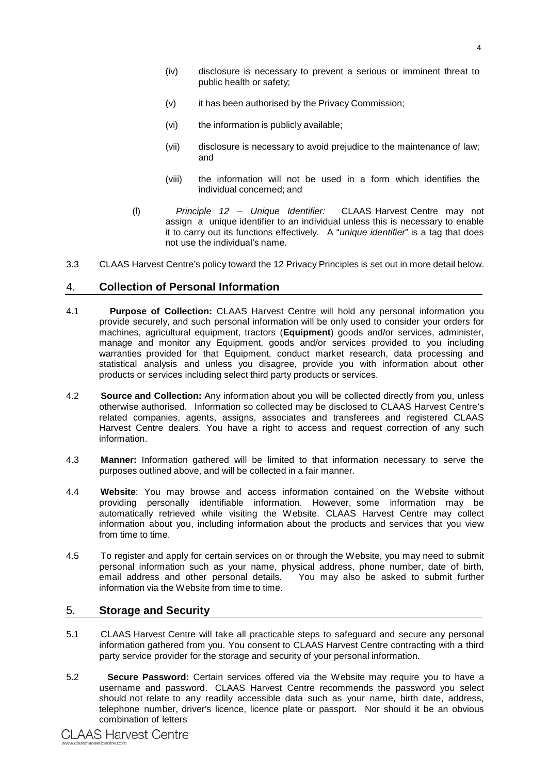- (iv) disclosure is necessary to prevent a serious or imminent threat to public health or safety;
- (v) it has been authorised by the Privacy Commission;
- (vi) the information is publicly available;
- (vii) disclosure is necessary to avoid prejudice to the maintenance of law; and
- (viii) the information will not be used in a form which identifies the individual concerned; and
- (l) *Principle 12 – Unique Identifier:* CLAAS Harvest Centre may not assign a unique identifier to an individual unless this is necessary to enable it to carry out its functions effectively. A "*unique identifier*" is a tag that does not use the individual's name.
- 3.3 CLAAS Harvest Centre's policy toward the 12 Privacy Principles is set out in more detail below.

## 4. **Collection of Personal Information**

- 4.1 **Purpose of Collection:** CLAAS Harvest Centre will hold any personal information you provide securely, and such personal information will be only used to consider your orders for machines, agricultural equipment, tractors (**Equipment**) goods and/or services, administer, manage and monitor any Equipment, goods and/or services provided to you including warranties provided for that Equipment, conduct market research, data processing and statistical analysis and unless you disagree, provide you with information about other products or services including select third party products or services.
- 4.2 **Source and Collection:** Any information about you will be collected directly from you, unless otherwise authorised. Information so collected may be disclosed to CLAAS Harvest Centre's related companies, agents, assigns, associates and transferees and registered CLAAS Harvest Centre dealers. You have a right to access and request correction of any such information.
- 4.3 **Manner:** Information gathered will be limited to that information necessary to serve the purposes outlined above, and will be collected in a fair manner.
- 4.4 **Website**: You may browse and access information contained on the Website without providing personally identifiable information. However, some information may be automatically retrieved while visiting the Website. CLAAS Harvest Centre may collect information about you, including information about the products and services that you view from time to time.
- 4.5 To register and apply for certain services on or through the Website, you may need to submit personal information such as your name, physical address, phone number, date of birth, You may also be asked to submit further information via the Website from time to time.

#### 5. **Storage and Security**

- 5.1 CLAAS Harvest Centre will take all practicable steps to safeguard and secure any personal information gathered from you. You consent to CLAAS Harvest Centre contracting with a third party service provider for the storage and security of your personal information.
- 5.2 **Secure Password:** Certain services offered via the Website may require you to have a username and password. CLAAS Harvest Centre recommends the password you select should not relate to any readily accessible data such as your name, birth date, address, telephone number, driver's licence, licence plate or passport. Nor should it be an obvious combination of letters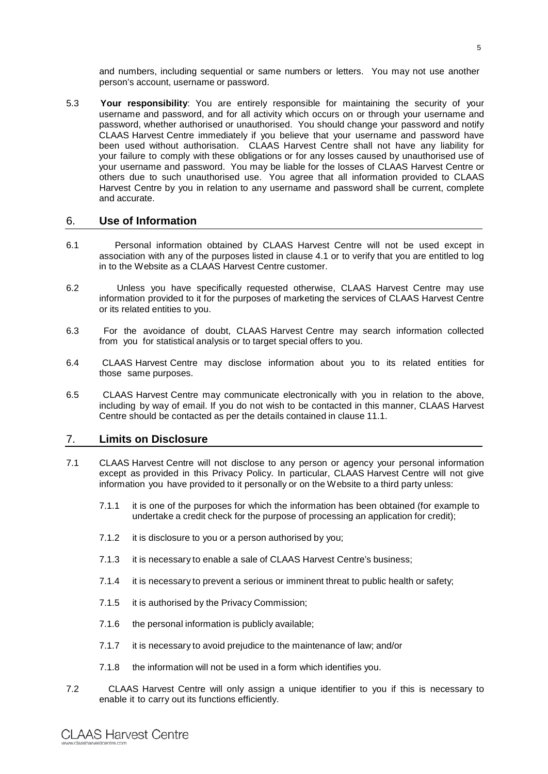and numbers, including sequential or same numbers or letters. You may not use another person's account, username or password.

5.3 **Your responsibility**: You are entirely responsible for maintaining the security of your username and password, and for all activity which occurs on or through your username and password, whether authorised or unauthorised. You should change your password and notify CLAAS Harvest Centre immediately if you believe that your username and password have been used without authorisation. CLAAS Harvest Centre shall not have any liability for your failure to comply with these obligations or for any losses caused by unauthorised use of your username and password. You may be liable for the losses of CLAAS Harvest Centre or others due to such unauthorised use. You agree that all information provided to CLAAS Harvest Centre by you in relation to any username and password shall be current, complete and accurate.

## 6. **Use of Information**

- 6.1 Personal information obtained by CLAAS Harvest Centre will not be used except in association with any of the purposes listed in clause 4.1 or to verify that you are entitled to log in to the Website as a CLAAS Harvest Centre customer.
- 6.2 Unless you have specifically requested otherwise, CLAAS Harvest Centre may use information provided to it for the purposes of marketing the services of CLAAS Harvest Centre or its related entities to you.
- 6.3 For the avoidance of doubt, CLAAS Harvest Centre may search information collected from you for statistical analysis or to target special offers to you.
- 6.4 CLAAS Harvest Centre may disclose information about you to its related entities for those same purposes.
- 6.5 CLAAS Harvest Centre may communicate electronically with you in relation to the above, including by way of email. If you do not wish to be contacted in this manner, CLAAS Harvest Centre should be contacted as per the details contained in clause 11.1.

# 7. **Limits on Disclosure**

- 7.1 CLAAS Harvest Centre will not disclose to any person or agency your personal information except as provided in this Privacy Policy. In particular, CLAAS Harvest Centre will not give information you have provided to it personally or on the Website to a third party unless:
	- 7.1.1 it is one of the purposes for which the information has been obtained (for example to undertake a credit check for the purpose of processing an application for credit);
	- 7.1.2 it is disclosure to you or a person authorised by you;
	- 7.1.3 it is necessary to enable a sale of CLAAS Harvest Centre's business;
	- 7.1.4 it is necessary to prevent a serious or imminent threat to public health or safety;
	- 7.1.5 it is authorised by the Privacy Commission;
	- 7.1.6 the personal information is publicly available;
	- 7.1.7 it is necessary to avoid prejudice to the maintenance of law; and/or
	- 7.1.8 the information will not be used in a form which identifies you.
- 7.2 CLAAS Harvest Centre will only assign a unique identifier to you if this is necessary to enable it to carry out its functions efficiently.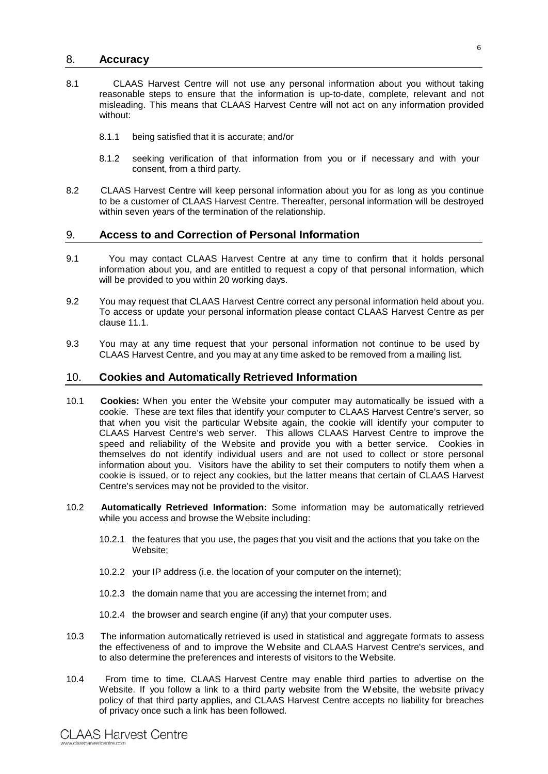#### 8. **Accuracy**

- 8.1 CLAAS Harvest Centre will not use any personal information about you without taking reasonable steps to ensure that the information is up-to-date, complete, relevant and not misleading. This means that CLAAS Harvest Centre will not act on any information provided without:
	- 8.1.1 being satisfied that it is accurate; and/or
	- 8.1.2 seeking verification of that information from you or if necessary and with your consent, from a third party.
- 8.2 CLAAS Harvest Centre will keep personal information about you for as long as you continue to be a customer of CLAAS Harvest Centre. Thereafter, personal information will be destroyed within seven years of the termination of the relationship.

## 9. **Access to and Correction of Personal Information**

- 9.1 You may contact CLAAS Harvest Centre at any time to confirm that it holds personal information about you, and are entitled to request a copy of that personal information, which will be provided to you within 20 working days.
- 9.2 You may request that CLAAS Harvest Centre correct any personal information held about you. To access or update your personal information please contact CLAAS Harvest Centre as per clause 11.1.
- 9.3 You may at any time request that your personal information not continue to be used by CLAAS Harvest Centre, and you may at any time asked to be removed from a mailing list.

#### 10. **Cookies and Automatically Retrieved Information**

- 10.1 **Cookies:** When you enter the Website your computer may automatically be issued with a cookie. These are text files that identify your computer to CLAAS Harvest Centre's server, so that when you visit the particular Website again, the cookie will identify your computer to CLAAS Harvest Centre's web server. This allows CLAAS Harvest Centre to improve the speed and reliability of the Website and provide you with a better service. Cookies in themselves do not identify individual users and are not used to collect or store personal information about you. Visitors have the ability to set their computers to notify them when a cookie is issued, or to reject any cookies, but the latter means that certain of CLAAS Harvest Centre's services may not be provided to the visitor.
- 10.2 **Automatically Retrieved Information:** Some information may be automatically retrieved while you access and browse the Website including:
	- 10.2.1 the features that you use, the pages that you visit and the actions that you take on the Website;
	- 10.2.2 your IP address (i.e. the location of your computer on the internet);
	- 10.2.3 the domain name that you are accessing the internet from; and
	- 10.2.4 the browser and search engine (if any) that your computer uses.
- 10.3 The information automatically retrieved is used in statistical and aggregate formats to assess the effectiveness of and to improve the Website and CLAAS Harvest Centre's services, and to also determine the preferences and interests of visitors to the Website.
- 10.4 From time to time, CLAAS Harvest Centre may enable third parties to advertise on the Website. If you follow a link to a third party website from the Website, the website privacy policy of that third party applies, and CLAAS Harvest Centre accepts no liability for breaches of privacy once such a link has been followed.